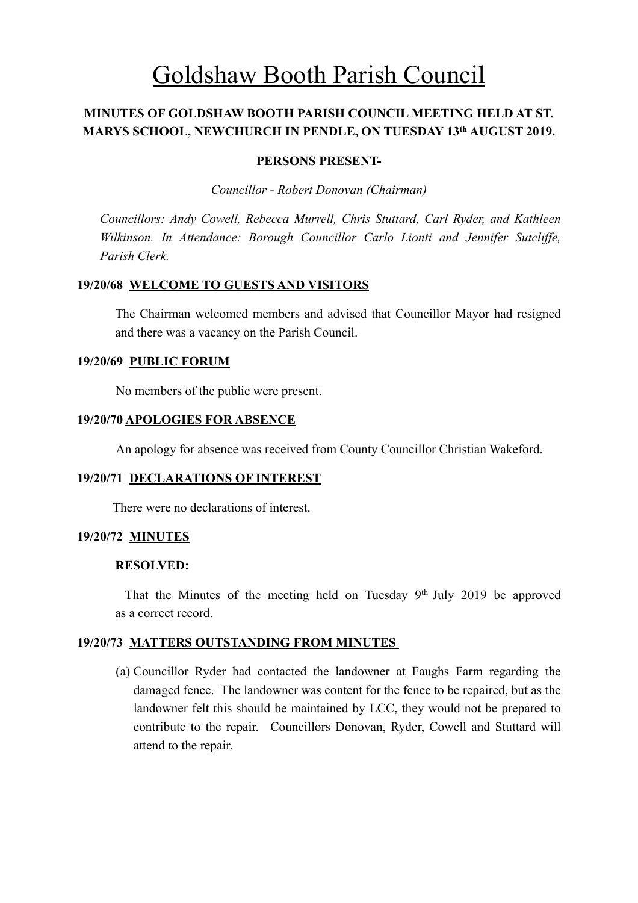# Goldshaw Booth Parish Council

# **MINUTES OF GOLDSHAW BOOTH PARISH COUNCIL MEETING HELD AT ST. MARYS SCHOOL, NEWCHURCH IN PENDLE, ON TUESDAY 13th AUGUST 2019.**

#### **PERSONS PRESENT-**

*Councillor* - *Robert Donovan (Chairman)* 

*Councillors: Andy Cowell, Rebecca Murrell, Chris Stuttard, Carl Ryder, and Kathleen Wilkinson. In Attendance: Borough Councillor Carlo Lionti and Jennifer Sutcliffe, Parish Clerk.*

# **19/20/68 WELCOME TO GUESTS AND VISITORS**

The Chairman welcomed members and advised that Councillor Mayor had resigned and there was a vacancy on the Parish Council.

## **19/20/69 PUBLIC FORUM**

No members of the public were present.

## **19/20/70 APOLOGIES FOR ABSENCE**

An apology for absence was received from County Councillor Christian Wakeford.

#### **19/20/71 DECLARATIONS OF INTEREST**

There were no declarations of interest.

#### **19/20/72 MINUTES**

#### **RESOLVED:**

 That the Minutes of the meeting held on Tuesday 9th July 2019 be approved as a correct record.

# **19/20/73 MATTERS OUTSTANDING FROM MINUTES**

(a) Councillor Ryder had contacted the landowner at Faughs Farm regarding the damaged fence. The landowner was content for the fence to be repaired, but as the landowner felt this should be maintained by LCC, they would not be prepared to contribute to the repair. Councillors Donovan, Ryder, Cowell and Stuttard will attend to the repair.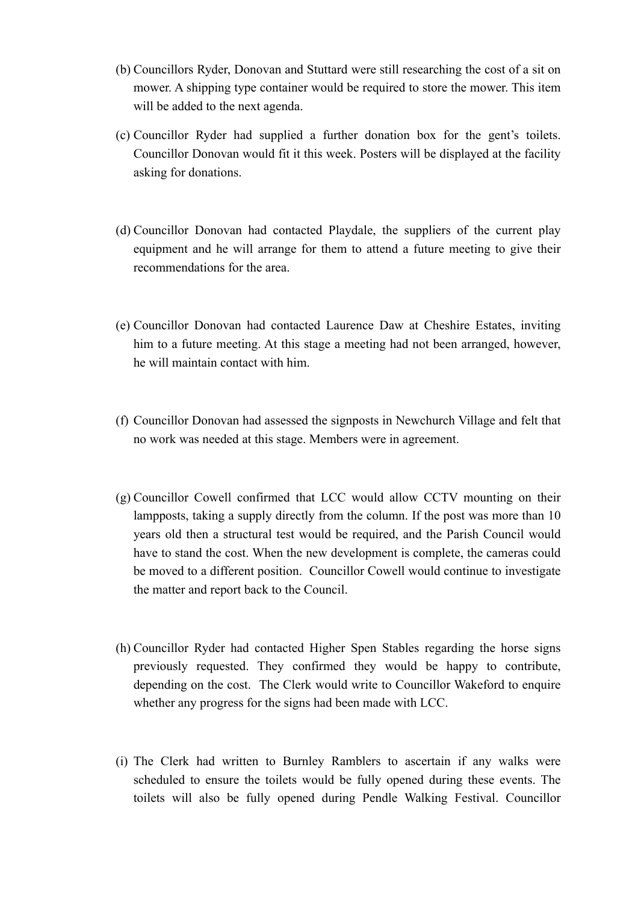- (b) Councillors Ryder, Donovan and Stuttard were still researching the cost of a sit on mower. A shipping type container would be required to store the mower. This item will be added to the next agenda.
- (c) Councillor Ryder had supplied a further donation box for the gent's toilets. Councillor Donovan would fit it this week. Posters will be displayed at the facility asking for donations.
- (d) Councillor Donovan had contacted Playdale, the suppliers of the current play equipment and he will arrange for them to attend a future meeting to give their recommendations for the area.
- (e) Councillor Donovan had contacted Laurence Daw at Cheshire Estates, inviting him to a future meeting. At this stage a meeting had not been arranged, however, he will maintain contact with him.
- (f) Councillor Donovan had assessed the signposts in Newchurch Village and felt that no work was needed at this stage. Members were in agreement.
- (g) Councillor Cowell confirmed that LCC would allow CCTV mounting on their lampposts, taking a supply directly from the column. If the post was more than 10 years old then a structural test would be required, and the Parish Council would have to stand the cost. When the new development is complete, the cameras could be moved to a different position. Councillor Cowell would continue to investigate the matter and report back to the Council.
- (h) Councillor Ryder had contacted Higher Spen Stables regarding the horse signs previously requested. They confirmed they would be happy to contribute, depending on the cost. The Clerk would write to Councillor Wakeford to enquire whether any progress for the signs had been made with LCC.
- (i) The Clerk had written to Burnley Ramblers to ascertain if any walks were scheduled to ensure the toilets would be fully opened during these events. The toilets will also be fully opened during Pendle Walking Festival. Councillor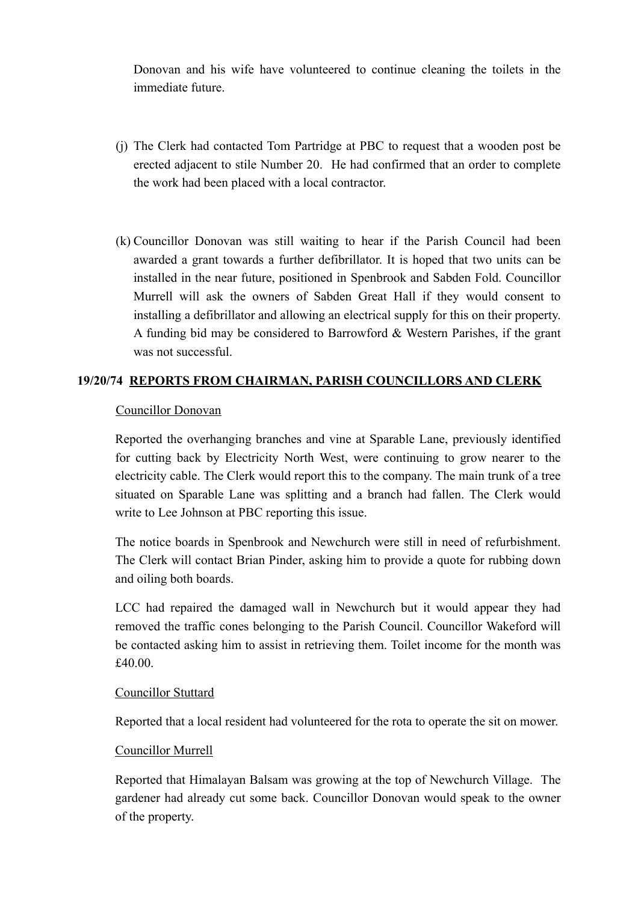Donovan and his wife have volunteered to continue cleaning the toilets in the immediate future.

- (j) The Clerk had contacted Tom Partridge at PBC to request that a wooden post be erected adjacent to stile Number 20. He had confirmed that an order to complete the work had been placed with a local contractor.
- (k) Councillor Donovan was still waiting to hear if the Parish Council had been awarded a grant towards a further defibrillator. It is hoped that two units can be installed in the near future, positioned in Spenbrook and Sabden Fold. Councillor Murrell will ask the owners of Sabden Great Hall if they would consent to installing a defibrillator and allowing an electrical supply for this on their property. A funding bid may be considered to Barrowford & Western Parishes, if the grant was not successful.

# **19/20/74 REPORTS FROM CHAIRMAN, PARISH COUNCILLORS AND CLERK**

# Councillor Donovan

 Reported the overhanging branches and vine at Sparable Lane, previously identified for cutting back by Electricity North West, were continuing to grow nearer to the electricity cable. The Clerk would report this to the company. The main trunk of a tree situated on Sparable Lane was splitting and a branch had fallen. The Clerk would write to Lee Johnson at PBC reporting this issue.

 The notice boards in Spenbrook and Newchurch were still in need of refurbishment. The Clerk will contact Brian Pinder, asking him to provide a quote for rubbing down and oiling both boards.

 LCC had repaired the damaged wall in Newchurch but it would appear they had removed the traffic cones belonging to the Parish Council. Councillor Wakeford will be contacted asking him to assist in retrieving them. Toilet income for the month was £40.00.

#### Councillor Stuttard

Reported that a local resident had volunteered for the rota to operate the sit on mower.

# Councillor Murrell

 Reported that Himalayan Balsam was growing at the top of Newchurch Village. The gardener had already cut some back. Councillor Donovan would speak to the owner of the property.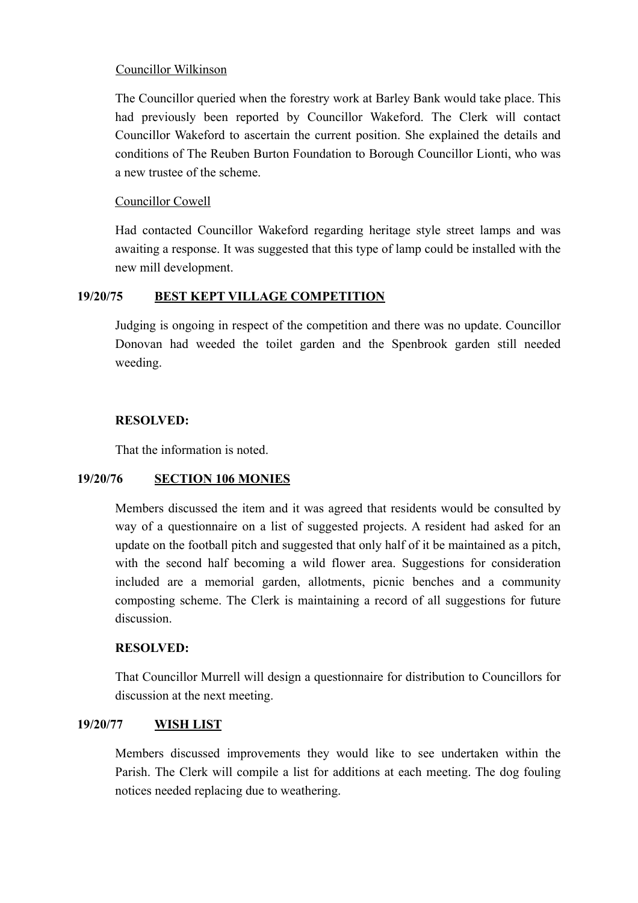# Councillor Wilkinson

 The Councillor queried when the forestry work at Barley Bank would take place. This had previously been reported by Councillor Wakeford. The Clerk will contact Councillor Wakeford to ascertain the current position. She explained the details and conditions of The Reuben Burton Foundation to Borough Councillor Lionti, who was a new trustee of the scheme.

# Councillor Cowell

 Had contacted Councillor Wakeford regarding heritage style street lamps and was awaiting a response. It was suggested that this type of lamp could be installed with the new mill development.

# **19/20/75 BEST KEPT VILLAGE COMPETITION**

 Judging is ongoing in respect of the competition and there was no update. Councillor Donovan had weeded the toilet garden and the Spenbrook garden still needed weeding.

# **RESOLVED:**

That the information is noted.

# **19/20/76 SECTION 106 MONIES**

 Members discussed the item and it was agreed that residents would be consulted by way of a questionnaire on a list of suggested projects. A resident had asked for an update on the football pitch and suggested that only half of it be maintained as a pitch, with the second half becoming a wild flower area. Suggestions for consideration included are a memorial garden, allotments, picnic benches and a community composting scheme. The Clerk is maintaining a record of all suggestions for future discussion.

# **RESOLVED:**

That Councillor Murrell will design a questionnaire for distribution to Councillors for discussion at the next meeting.

# **19/20/77 WISH LIST**

 Members discussed improvements they would like to see undertaken within the Parish. The Clerk will compile a list for additions at each meeting. The dog fouling notices needed replacing due to weathering.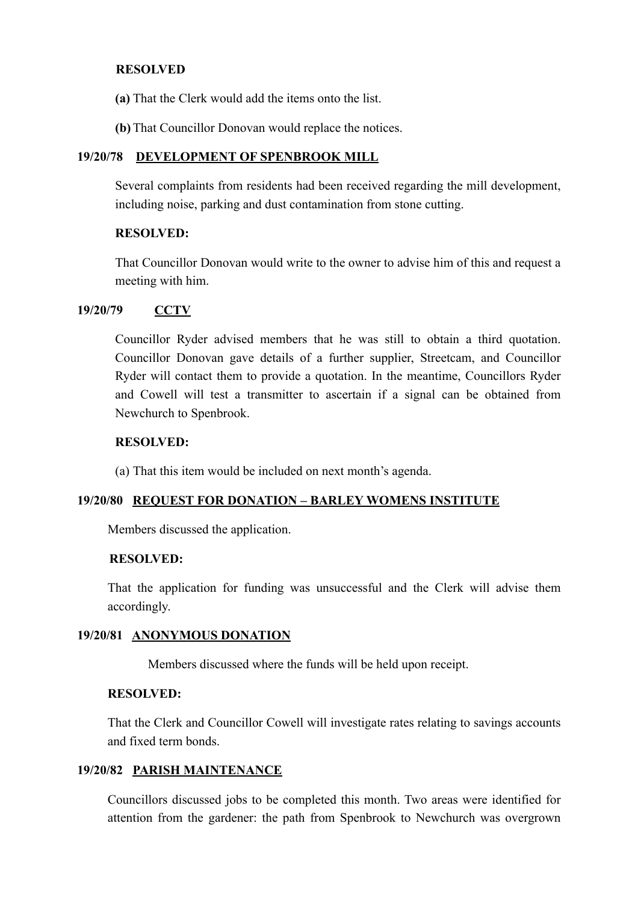## **RESOLVED**

- **(a)** That the Clerk would add the items onto the list.
- **(b)** That Councillor Donovan would replace the notices.

## **19/20/78 DEVELOPMENT OF SPENBROOK MILL**

Several complaints from residents had been received regarding the mill development, including noise, parking and dust contamination from stone cutting.

## **RESOLVED:**

That Councillor Donovan would write to the owner to advise him of this and request a meeting with him.

## **19/20/79 CCTV**

Councillor Ryder advised members that he was still to obtain a third quotation. Councillor Donovan gave details of a further supplier, Streetcam, and Councillor Ryder will contact them to provide a quotation. In the meantime, Councillors Ryder and Cowell will test a transmitter to ascertain if a signal can be obtained from Newchurch to Spenbrook.

## **RESOLVED:**

(a) That this item would be included on next month's agenda.

#### **19/20/80 REQUEST FOR DONATION – BARLEY WOMENS INSTITUTE**

Members discussed the application.

#### **RESOLVED:**

That the application for funding was unsuccessful and the Clerk will advise them accordingly.

#### **19/20/81 ANONYMOUS DONATION**

Members discussed where the funds will be held upon receipt.

# **RESOLVED:**

That the Clerk and Councillor Cowell will investigate rates relating to savings accounts and fixed term bonds.

# **19/20/82 PARISH MAINTENANCE**

 Councillors discussed jobs to be completed this month. Two areas were identified for attention from the gardener: the path from Spenbrook to Newchurch was overgrown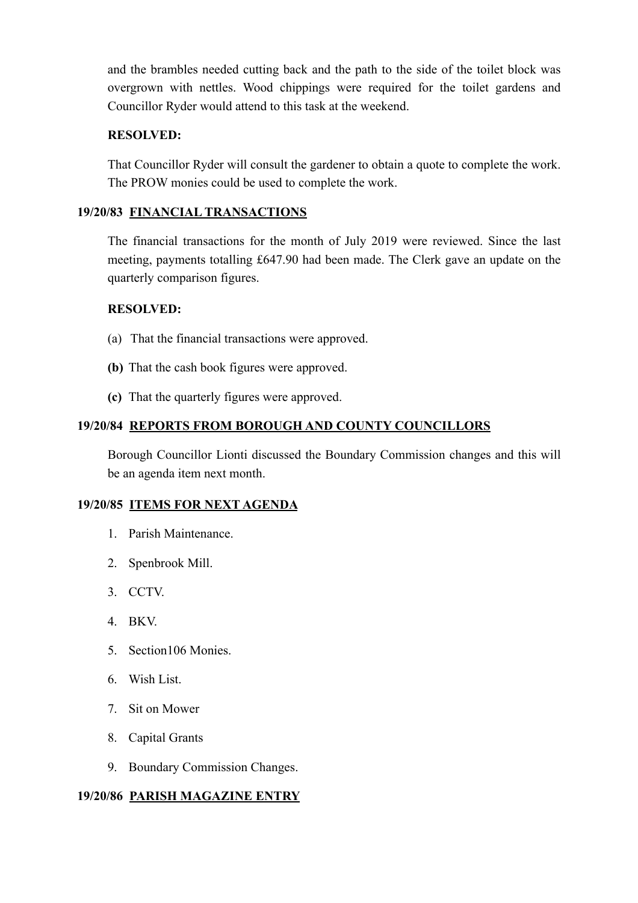and the brambles needed cutting back and the path to the side of the toilet block was overgrown with nettles. Wood chippings were required for the toilet gardens and Councillor Ryder would attend to this task at the weekend.

# **RESOLVED:**

That Councillor Ryder will consult the gardener to obtain a quote to complete the work. The PROW monies could be used to complete the work.

# **19/20/83 FINANCIAL TRANSACTIONS**

The financial transactions for the month of July 2019 were reviewed. Since the last meeting, payments totalling £647.90 had been made. The Clerk gave an update on the quarterly comparison figures.

# **RESOLVED:**

- (a) That the financial transactions were approved.
- **(b)** That the cash book figures were approved.
- **(c)** That the quarterly figures were approved.

# **19/20/84 REPORTS FROM BOROUGH AND COUNTY COUNCILLORS**

 Borough Councillor Lionti discussed the Boundary Commission changes and this will be an agenda item next month.

# **19/20/85 ITEMS FOR NEXT AGENDA**

- 1. Parish Maintenance.
- 2. Spenbrook Mill.
- 3. CCTV.
- 4. BKV.
- 5. Section106 Monies.
- 6. Wish List.
- 7. Sit on Mower
- 8. Capital Grants
- 9. Boundary Commission Changes.

# **19/20/86 PARISH MAGAZINE ENTRY**